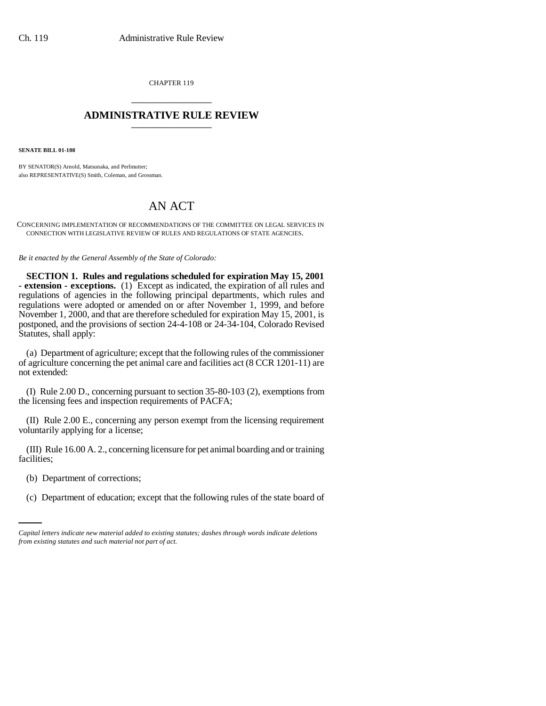CHAPTER 119 \_\_\_\_\_\_\_\_\_\_\_\_\_\_\_

## **ADMINISTRATIVE RULE REVIEW** \_\_\_\_\_\_\_\_\_\_\_\_\_\_\_

**SENATE BILL 01-108**

BY SENATOR(S) Arnold, Matsunaka, and Perlmutter; also REPRESENTATIVE(S) Smith, Coleman, and Grossman.

## AN ACT

CONCERNING IMPLEMENTATION OF RECOMMENDATIONS OF THE COMMITTEE ON LEGAL SERVICES IN CONNECTION WITH LEGISLATIVE REVIEW OF RULES AND REGULATIONS OF STATE AGENCIES.

*Be it enacted by the General Assembly of the State of Colorado:*

**SECTION 1. Rules and regulations scheduled for expiration May 15, 2001 - extension - exceptions.** (1) Except as indicated, the expiration of all rules and regulations of agencies in the following principal departments, which rules and regulations were adopted or amended on or after November 1, 1999, and before November 1, 2000, and that are therefore scheduled for expiration May 15, 2001, is postponed, and the provisions of section 24-4-108 or 24-34-104, Colorado Revised Statutes, shall apply:

(a) Department of agriculture; except that the following rules of the commissioner of agriculture concerning the pet animal care and facilities act (8 CCR 1201-11) are not extended:

(I) Rule 2.00 D., concerning pursuant to section 35-80-103 (2), exemptions from the licensing fees and inspection requirements of PACFA;

(II) Rule 2.00 E., concerning any person exempt from the licensing requirement voluntarily applying for a license;

(III) Rule 16.00 A. 2., concerning licensure for pet animal boarding and or training facilities;

(b) Department of corrections;

(c) Department of education; except that the following rules of the state board of

*Capital letters indicate new material added to existing statutes; dashes through words indicate deletions from existing statutes and such material not part of act.*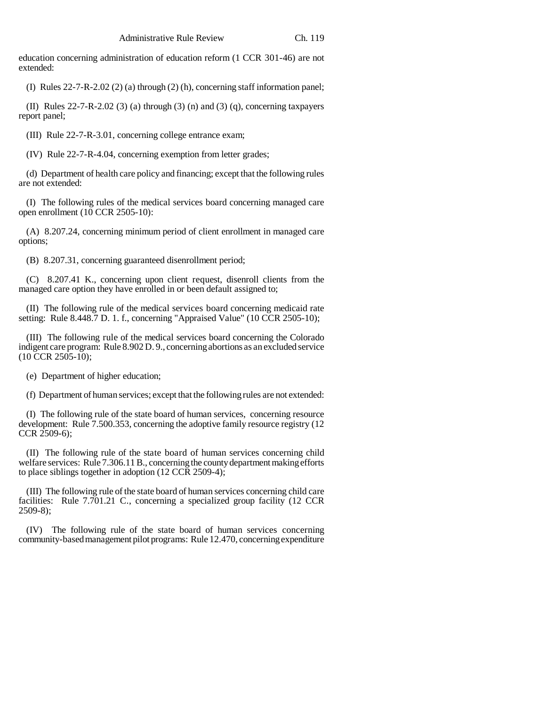education concerning administration of education reform (1 CCR 301-46) are not extended:

(I) Rules 22-7-R-2.02 (2) (a) through (2) (h), concerning staff information panel;

(II) Rules  $22-7-R-2.02$  (3) (a) through (3) (n) and (3) (q), concerning taxpayers report panel;

(III) Rule 22-7-R-3.01, concerning college entrance exam;

(IV) Rule 22-7-R-4.04, concerning exemption from letter grades;

(d) Department of health care policy and financing; except that the following rules are not extended:

(I) The following rules of the medical services board concerning managed care open enrollment (10 CCR 2505-10):

(A) 8.207.24, concerning minimum period of client enrollment in managed care options;

(B) 8.207.31, concerning guaranteed disenrollment period;

(C) 8.207.41 K., concerning upon client request, disenroll clients from the managed care option they have enrolled in or been default assigned to;

(II) The following rule of the medical services board concerning medicaid rate setting: Rule 8.448.7 D. 1. f., concerning "Appraised Value" (10 CCR 2505-10);

(III) The following rule of the medical services board concerning the Colorado indigent care program: Rule 8.902 D. 9., concerning abortions as an excluded service  $(10 \text{ CCR } 2505 - 10);$ 

(e) Department of higher education;

(f) Department of human services; except that the following rules are not extended:

(I) The following rule of the state board of human services, concerning resource development: Rule 7.500.353, concerning the adoptive family resource registry (12 CCR 2509-6);

(II) The following rule of the state board of human services concerning child welfare services: Rule 7.306.11 B., concerning the county department making efforts to place siblings together in adoption (12 CCR 2509-4);

(III) The following rule of the state board of human services concerning child care facilities: Rule 7.701.21 C., concerning a specialized group facility (12 CCR 2509-8);

(IV) The following rule of the state board of human services concerning community-based management pilot programs: Rule 12.470, concerning expenditure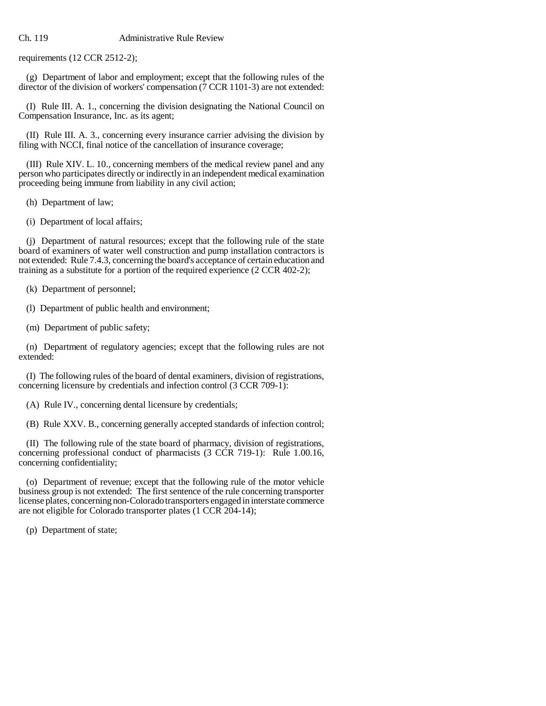## Ch. 119 Administrative Rule Review

requirements (12 CCR 2512-2);

(g) Department of labor and employment; except that the following rules of the director of the division of workers' compensation (7 CCR 1101-3) are not extended:

(I) Rule III. A. 1., concerning the division designating the National Council on Compensation Insurance, Inc. as its agent;

(II) Rule III. A. 3., concerning every insurance carrier advising the division by filing with NCCI, final notice of the cancellation of insurance coverage;

(III) Rule XIV. L. 10., concerning members of the medical review panel and any person who participates directly or indirectly in an independent medical examination proceeding being immune from liability in any civil action;

(h) Department of law;

(i) Department of local affairs;

(j) Department of natural resources; except that the following rule of the state board of examiners of water well construction and pump installation contractors is not extended: Rule 7.4.3, concerning the board's acceptance of certain education and training as a substitute for a portion of the required experience (2 CCR 402-2);

(k) Department of personnel;

(l) Department of public health and environment;

(m) Department of public safety;

(n) Department of regulatory agencies; except that the following rules are not extended:

(I) The following rules of the board of dental examiners, division of registrations, concerning licensure by credentials and infection control (3 CCR 709-1):

(A) Rule IV., concerning dental licensure by credentials;

(B) Rule XXV. B., concerning generally accepted standards of infection control;

(II) The following rule of the state board of pharmacy, division of registrations, concerning professional conduct of pharmacists (3 CCR 719-1): Rule 1.00.16, concerning confidentiality;

(o) Department of revenue; except that the following rule of the motor vehicle business group is not extended: The first sentence of the rule concerning transporter license plates, concerning non-Colorado transporters engaged in interstate commerce are not eligible for Colorado transporter plates (1 CCR 204-14);

(p) Department of state;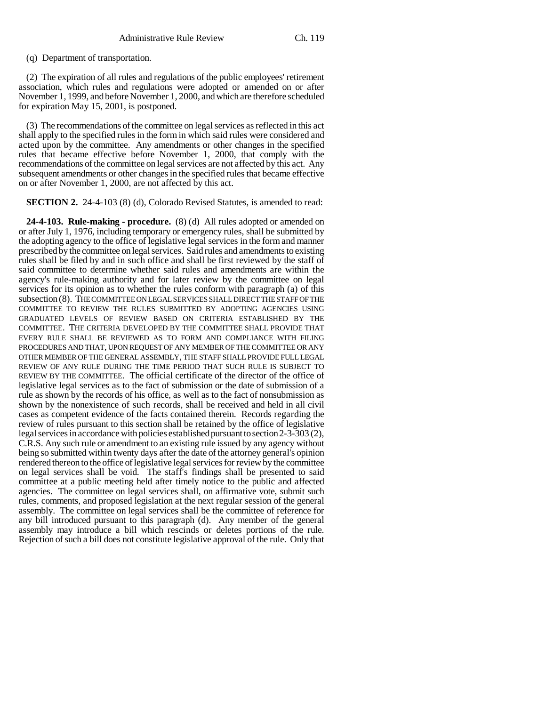(q) Department of transportation.

(2) The expiration of all rules and regulations of the public employees' retirement association, which rules and regulations were adopted or amended on or after November 1, 1999, and before November 1, 2000, and which are therefore scheduled for expiration May 15, 2001, is postponed.

(3) The recommendations of the committee on legal services as reflected in this act shall apply to the specified rules in the form in which said rules were considered and acted upon by the committee. Any amendments or other changes in the specified rules that became effective before November 1, 2000, that comply with the recommendations of the committee on legal services are not affected by this act. Any subsequent amendments or other changes in the specified rules that became effective on or after November 1, 2000, are not affected by this act.

**SECTION 2.** 24-4-103 (8) (d), Colorado Revised Statutes, is amended to read:

**24-4-103. Rule-making - procedure.** (8) (d) All rules adopted or amended on or after July 1, 1976, including temporary or emergency rules, shall be submitted by the adopting agency to the office of legislative legal services in the form and manner prescribed by the committee on legal services. Said rules and amendments to existing rules shall be filed by and in such office and shall be first reviewed by the staff of said committee to determine whether said rules and amendments are within the agency's rule-making authority and for later review by the committee on legal services for its opinion as to whether the rules conform with paragraph (a) of this subsection (8). THE COMMITTEE ON LEGAL SERVICES SHALL DIRECT THE STAFF OF THE COMMITTEE TO REVIEW THE RULES SUBMITTED BY ADOPTING AGENCIES USING GRADUATED LEVELS OF REVIEW BASED ON CRITERIA ESTABLISHED BY THE COMMITTEE. THE CRITERIA DEVELOPED BY THE COMMITTEE SHALL PROVIDE THAT EVERY RULE SHALL BE REVIEWED AS TO FORM AND COMPLIANCE WITH FILING PROCEDURES AND THAT, UPON REQUEST OF ANY MEMBER OF THE COMMITTEE OR ANY OTHER MEMBER OF THE GENERAL ASSEMBLY, THE STAFF SHALL PROVIDE FULL LEGAL REVIEW OF ANY RULE DURING THE TIME PERIOD THAT SUCH RULE IS SUBJECT TO REVIEW BY THE COMMITTEE. The official certificate of the director of the office of legislative legal services as to the fact of submission or the date of submission of a rule as shown by the records of his office, as well as to the fact of nonsubmission as shown by the nonexistence of such records, shall be received and held in all civil cases as competent evidence of the facts contained therein. Records regarding the review of rules pursuant to this section shall be retained by the office of legislative legal services in accordance with policies established pursuant to section 2-3-303 (2), C.R.S. Any such rule or amendment to an existing rule issued by any agency without being so submitted within twenty days after the date of the attorney general's opinion rendered thereon to the office of legislative legal services for review by the committee on legal services shall be void. The staff's findings shall be presented to said committee at a public meeting held after timely notice to the public and affected agencies. The committee on legal services shall, on affirmative vote, submit such rules, comments, and proposed legislation at the next regular session of the general assembly. The committee on legal services shall be the committee of reference for any bill introduced pursuant to this paragraph (d). Any member of the general assembly may introduce a bill which rescinds or deletes portions of the rule. Rejection of such a bill does not constitute legislative approval of the rule. Only that